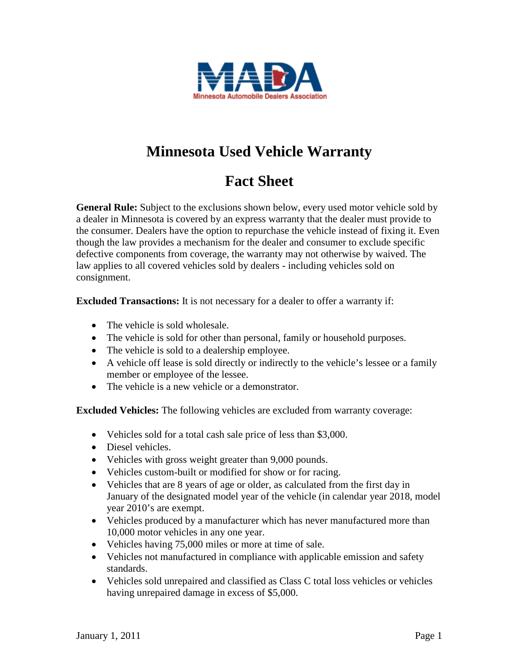

## **Minnesota Used Vehicle Warranty**

## **Fact Sheet**

**General Rule:** Subject to the exclusions shown below, every used motor vehicle sold by a dealer in Minnesota is covered by an express warranty that the dealer must provide to the consumer. Dealers have the option to repurchase the vehicle instead of fixing it. Even though the law provides a mechanism for the dealer and consumer to exclude specific defective components from coverage, the warranty may not otherwise by waived. The law applies to all covered vehicles sold by dealers - including vehicles sold on consignment.

**Excluded Transactions:** It is not necessary for a dealer to offer a warranty if:

- The vehicle is sold wholesale.
- The vehicle is sold for other than personal, family or household purposes.
- The vehicle is sold to a dealership employee.
- A vehicle off lease is sold directly or indirectly to the vehicle's lessee or a family member or employee of the lessee.
- The vehicle is a new vehicle or a demonstrator.

**Excluded Vehicles:** The following vehicles are excluded from warranty coverage:

- Vehicles sold for a total cash sale price of less than \$3,000.
- Diesel vehicles.
- Vehicles with gross weight greater than 9,000 pounds.
- Vehicles custom-built or modified for show or for racing.
- Vehicles that are 8 years of age or older, as calculated from the first day in January of the designated model year of the vehicle (in calendar year 2018, model year 2010's are exempt.
- Vehicles produced by a manufacturer which has never manufactured more than 10,000 motor vehicles in any one year.
- Vehicles having 75,000 miles or more at time of sale.
- Vehicles not manufactured in compliance with applicable emission and safety standards.
- Vehicles sold unrepaired and classified as Class C total loss vehicles or vehicles having unrepaired damage in excess of \$5,000.